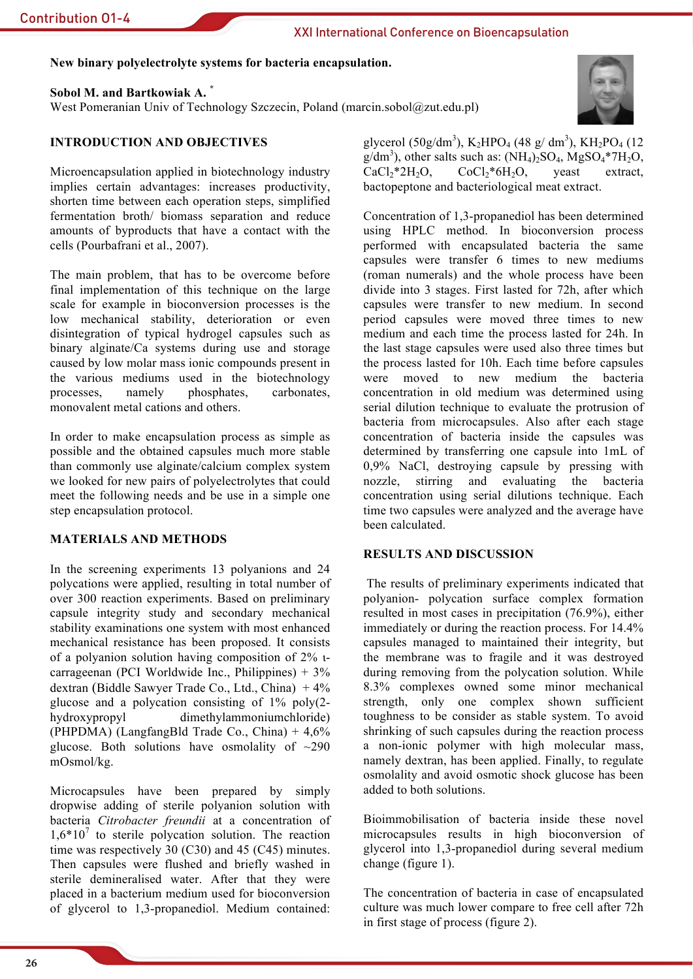## New binary polyelectrolyte systems for bacteria encapsulation.

## Sobol M. and Bartkowiak A.

West Pomeranian Univ of Technology Szczecin, Poland (marcin.sobol@zut.edu.pl)



# **INTRODUCTION AND OBJECTIVES**

Microencapsulation applied in biotechnology industry implies certain advantages: increases productivity, shorten time between each operation steps, simplified fermentation broth/ biomass separation and reduce amounts of byproducts that have a contact with the cells (Pourbafrani et al., 2007).

The main problem, that has to be overcome before final implementation of this technique on the large scale for example in bioconversion processes is the low mechanical stability, deterioration or even disintegration of typical hydrogel capsules such as binary alginate/Ca systems during use and storage caused by low molar mass ionic compounds present in the various mediums used in the biotechnology processes. namely phosphates. carbonates. monovalent metal cations and others.

In order to make encapsulation process as simple as possible and the obtained capsules much more stable than commonly use alginate/calcium complex system we looked for new pairs of polyelectrolytes that could meet the following needs and be use in a simple one step encapsulation protocol.

## **MATERIALS AND METHODS**

In the screening experiments 13 polyanions and 24 polycations were applied, resulting in total number of over 300 reaction experiments. Based on preliminary capsule integrity study and secondary mechanical stability examinations one system with most enhanced mechanical resistance has been proposed. It consists of a polyanion solution having composition of  $2\%$  tcarrageenan (PCI Worldwide Inc., Philippines)  $+3\%$ dextran (Biddle Sawyer Trade Co., Ltd., China)  $+4\%$ glucose and a polycation consisting of  $1\%$  poly $(2-)$ hydroxypropyl dimethylammoniumchloride) (PHPDMA) (LangfangBld Trade Co., China) +  $4.6\%$ glucose. Both solutions have osmolality of  $\sim$ 290 mOsmol/kg.

Microcapsules have been prepared by simply dropwise adding of sterile polyanion solution with bacteria Citrobacter freundii at a concentration of  $1.6*10<sup>7</sup>$  to sterile polycation solution. The reaction time was respectively 30  $(C30)$  and 45  $(C45)$  minutes. Then capsules were flushed and briefly washed in sterile demineralised water. After that they were placed in a bacterium medium used for bioconversion of glycerol to 1,3-propanediol. Medium contained: glycerol (50g/dm<sup>3</sup>), K<sub>2</sub>HPO<sub>4</sub> (48 g/dm<sup>3</sup>), KH<sub>2</sub>PO<sub>4</sub> (12)  $g/dm^3$ , other salts such as:  $(NH_4)_2SO_4$ ,  $MgSO_4*7H_2O$ ,  $CaCl<sub>2</sub>*2H<sub>2</sub>O<sub>2</sub>$  $CoCl<sub>2</sub>*6H<sub>2</sub>O$ yeast extract. bactopeptone and bacteriological meat extract.

Concentration of 1,3-propanediol has been determined using HPLC method. In bioconversion process performed with encapsulated bacteria the same capsules were transfer 6 times to new mediums (roman numerals) and the whole process have been divide into 3 stages. First lasted for 72h, after which capsules were transfer to new medium. In second period capsules were moved three times to new medium and each time the process lasted for 24h. In the last stage capsules were used also three times but the process lasted for 10h. Each time before capsules were moved to new medium the bacteria concentration in old medium was determined using serial dilution technique to evaluate the protrusion of bacteria from microcapsules. Also after each stage concentration of bacteria inside the capsules was determined by transferring one capsule into 1mL of  $0.9\%$  NaCl destroving capsule by pressing with nozzle, stirring and evaluating the bacteria concentration using serial dilutions technique. Each time two capsules were analyzed and the average have been calculated.

## **RESULTS AND DISCUSSION**

The results of preliminary experiments indicated that polyanion- polycation surface complex formation resulted in most cases in precipitation  $(76.9\%)$ , either immediately or during the reaction process. For 14.4% capsules managed to maintained their integrity, but the membrane was to fragile and it was destroyed during removing from the polycation solution. While 8.3% complexes owned some minor mechanical strength, only one complex shown sufficient toughness to be consider as stable system. To avoid shrinking of such capsules during the reaction process a non-ionic polymer with high molecular mass, namely dextran, has been applied. Finally, to regulate osmolality and avoid osmotic shock glucose has been added to both solutions.

Bioimmobilisation of bacteria inside these novel microcapsules results in high bioconversion of glycerol into 1,3-propanediol during several medium change (figure 1).

The concentration of bacteria in case of encapsulated culture was much lower compare to free cell after 72h in first stage of process (figure 2).